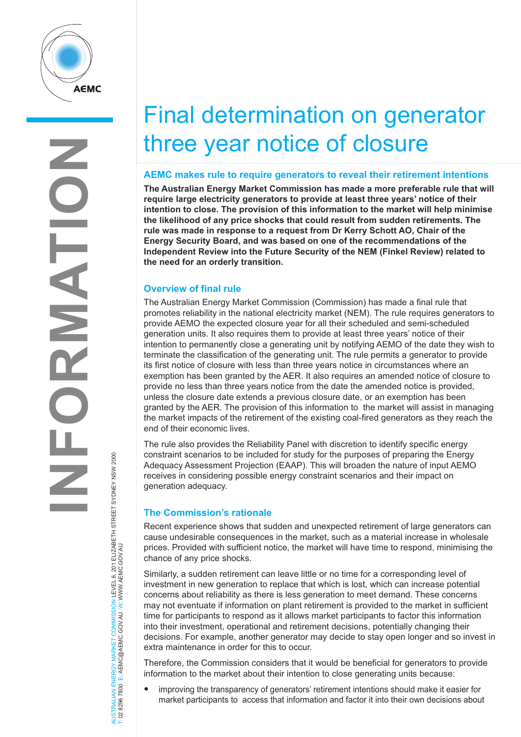

AUSTRALIAN ENERGY MARKET COMMISSION LEVEL 6, 201 ELIZABETH STREET SYDNEY NSW 2000

W

W.AEMC.GOV.AU

T: 02 8296 7800 E: AEMC@AEMC.GOV.AU W: W

AUSTRALIAN ENERGY MARKET

# Final determination on generator three year notice of closure

### **AEMC makes rule to require generators to reveal their retirement intentions**

**The Australian Energy Market Commission has made a more preferable rule that will require large electricity generators to provide at least three years' notice of their intention to close. The provision of this information to the market will help minimise the likelihood of any price shocks that could result from sudden retirements. The rule was made in response to a request from Dr Kerry Schott AO, Chair of the Energy Security Board, and was based on one of the recommendations of the Independent Review into the Future Security of the NEM (Finkel Review) related to the need for an orderly transition.**

## **Overview of final rule**

The Australian Energy Market Commission (Commission) has made a final rule that promotes reliability in the national electricity market (NEM). The rule requires generators to provide AEMO the expected closure year for all their scheduled and semi-scheduled generation units. It also requires them to provide at least three years' notice of their intention to permanently close a generating unit by notifying AEMO of the date they wish to terminate the classification of the generating unit. The rule permits a generator to provide its first notice of closure with less than three years notice in circumstances where an exemption has been granted by the AER. It also requires an amended notice of closure to provide no less than three years notice from the date the amended notice is provided, unless the closure date extends a previous closure date, or an exemption has been granted by the AER. The provision of this information to the market will assist in managing the market impacts of the retirement of the existing coal-fired generators as they reach the end of their economic lives.

The rule also provides the Reliability Panel with discretion to identify specific energy constraint scenarios to be included for study for the purposes of preparing the Energy Adequacy Assessment Projection (EAAP). This will broaden the nature of input AEMO receives in considering possible energy constraint scenarios and their impact on generation adequacy.

## **The Commission's rationale**

Recent experience shows that sudden and unexpected retirement of large generators can cause undesirable consequences in the market, such as a material increase in wholesale prices. Provided with sufficient notice, the market will have time to respond, minimising the chance of any price shocks.

Similarly, a sudden retirement can leave little or no time for a corresponding level of investment in new generation to replace that which is lost, which can increase potential concerns about reliability as there is less generation to meet demand. These concerns may not eventuate if information on plant retirement is provided to the market in sufficient time for participants to respond as it allows market participants to factor this information into their investment, operational and retirement decisions, potentially changing their decisions. For example, another generator may decide to stay open longer and so invest in extra maintenance in order for this to occur.

Therefore, the Commission considers that it would be beneficial for generators to provide information to the market about their intention to close generating units because:

• improving the transparency of generators' retirement intentions should make it easier for market participants to access that information and factor it into their own decisions about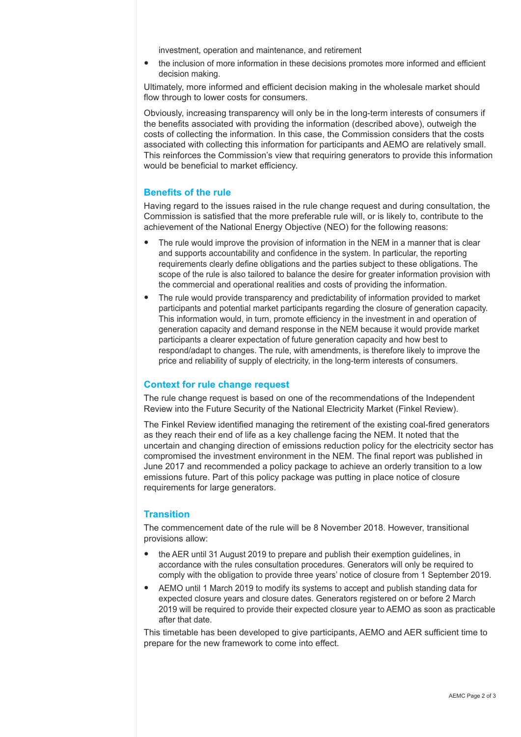investment, operation and maintenance, and retirement

• the inclusion of more information in these decisions promotes more informed and efficient decision making.

Ultimately, more informed and efficient decision making in the wholesale market should flow through to lower costs for consumers.

Obviously, increasing transparency will only be in the long-term interests of consumers if the benefits associated with providing the information (described above), outweigh the costs of collecting the information. In this case, the Commission considers that the costs associated with collecting this information for participants and AEMO are relatively small. This reinforces the Commission's view that requiring generators to provide this information would be beneficial to market efficiency.

## **Benefits of the rule**

Having regard to the issues raised in the rule change request and during consultation, the Commission is satisfied that the more preferable rule will, or is likely to, contribute to the achievement of the National Energy Objective (NEO) for the following reasons:

- The rule would improve the provision of information in the NEM in a manner that is clear and supports accountability and confidence in the system. In particular, the reporting requirements clearly define obligations and the parties subject to these obligations. The scope of the rule is also tailored to balance the desire for greater information provision with the commercial and operational realities and costs of providing the information.
- The rule would provide transparency and predictability of information provided to market participants and potential market participants regarding the closure of generation capacity. This information would, in turn, promote efficiency in the investment in and operation of generation capacity and demand response in the NEM because it would provide market participants a clearer expectation of future generation capacity and how best to respond/adapt to changes. The rule, with amendments, is therefore likely to improve the price and reliability of supply of electricity, in the long-term interests of consumers.

### **Context for rule change request**

The rule change request is based on one of the recommendations of the Independent Review into the Future Security of the National Electricity Market (Finkel Review).

The Finkel Review identified managing the retirement of the existing coal-fired generators as they reach their end of life as a key challenge facing the NEM. It noted that the uncertain and changing direction of emissions reduction policy for the electricity sector has compromised the investment environment in the NEM. The final report was published in June 2017 and recommended a policy package to achieve an orderly transition to a low emissions future. Part of this policy package was putting in place notice of closure requirements for large generators.

#### **Transition**

The commencement date of the rule will be 8 November 2018. However, transitional provisions allow:

- the AER until 31 August 2019 to prepare and publish their exemption quidelines, in accordance with the rules consultation procedures. Generators will only be required to comply with the obligation to provide three years' notice of closure from 1 September 2019.
- AEMO until <sup>1</sup> March <sup>2019</sup> to modify its systems to accept and publish standing data for expected closure years and closure dates. Generators registered on or before 2 March 2019 will be required to provide their expected closure year to AEMO as soon as practicable after that date.

This timetable has been developed to give participants, AEMO and AER sufficient time to prepare for the new framework to come into effect.